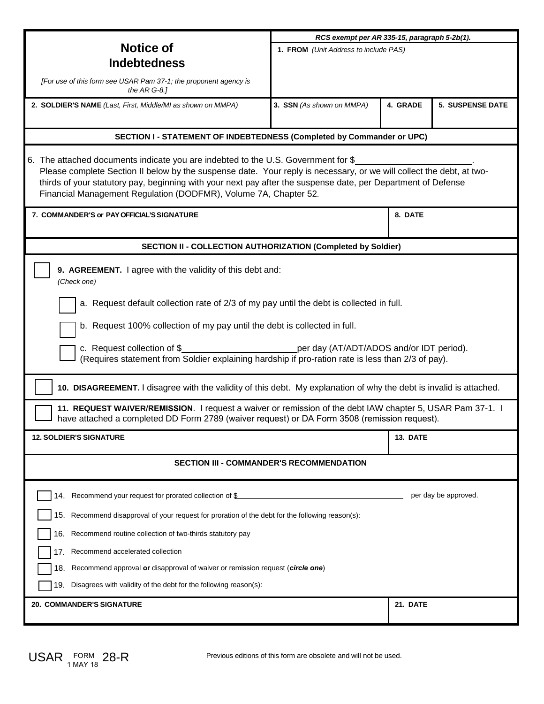|                                                                                                                                                                                                                                                                                                                                                                                                | RCS exempt per AR 335-15, paragraph 5-2b(1). |          |                         |
|------------------------------------------------------------------------------------------------------------------------------------------------------------------------------------------------------------------------------------------------------------------------------------------------------------------------------------------------------------------------------------------------|----------------------------------------------|----------|-------------------------|
| <b>Notice of</b>                                                                                                                                                                                                                                                                                                                                                                               | 1. FROM (Unit Address to include PAS)        |          |                         |
| <b>Indebtedness</b>                                                                                                                                                                                                                                                                                                                                                                            |                                              |          |                         |
| [For use of this form see USAR Pam 37-1; the proponent agency is<br>the $AR$ G-8.1                                                                                                                                                                                                                                                                                                             |                                              |          |                         |
| 2. SOLDIER'S NAME (Last, First, Middle/MI as shown on MMPA)                                                                                                                                                                                                                                                                                                                                    | 3. SSN (As shown on MMPA)                    | 4. GRADE | <b>5. SUSPENSE DATE</b> |
| <b>SECTION I - STATEMENT OF INDEBTEDNESS (Completed by Commander or UPC)</b>                                                                                                                                                                                                                                                                                                                   |                                              |          |                         |
| 6. The attached documents indicate you are indebted to the U.S. Government for \$<br>Please complete Section II below by the suspense date. Your reply is necessary, or we will collect the debt, at two-<br>thirds of your statutory pay, beginning with your next pay after the suspense date, per Department of Defense<br>Financial Management Regulation (DODFMR), Volume 7A, Chapter 52. |                                              |          |                         |
| 7. COMMANDER'S or PAY OFFICIAL'S SIGNATURE                                                                                                                                                                                                                                                                                                                                                     | 8. DATE                                      |          |                         |
| SECTION II - COLLECTION AUTHORIZATION (Completed by Soldier)                                                                                                                                                                                                                                                                                                                                   |                                              |          |                         |
| 9. AGREEMENT. I agree with the validity of this debt and:<br>(Check one)                                                                                                                                                                                                                                                                                                                       |                                              |          |                         |
| a. Request default collection rate of 2/3 of my pay until the debt is collected in full.                                                                                                                                                                                                                                                                                                       |                                              |          |                         |
| b. Request 100% collection of my pay until the debt is collected in full.                                                                                                                                                                                                                                                                                                                      |                                              |          |                         |
| c. Request collection of \$<br>per day (AT/ADT/ADOS and/or IDT period).<br>(Requires statement from Soldier explaining hardship if pro-ration rate is less than 2/3 of pay).                                                                                                                                                                                                                   |                                              |          |                         |
| 10. DISAGREEMENT. I disagree with the validity of this debt. My explanation of why the debt is invalid is attached.                                                                                                                                                                                                                                                                            |                                              |          |                         |
| 11. REQUEST WAIVER/REMISSION. I request a waiver or remission of the debt IAW chapter 5, USAR Pam 37-1. I<br>have attached a completed DD Form 2789 (waiver request) or DA Form 3508 (remission request).                                                                                                                                                                                      |                                              |          |                         |
| <b>12. SOLDIER'S SIGNATURE</b>                                                                                                                                                                                                                                                                                                                                                                 |                                              | 13. DATE |                         |
| SECTION III - COMMANDER'S RECOMMENDATION                                                                                                                                                                                                                                                                                                                                                       |                                              |          |                         |
| 14. Recommend your request for prorated collection of \$                                                                                                                                                                                                                                                                                                                                       |                                              |          | per day be approved.    |
| 15. Recommend disapproval of your request for proration of the debt for the following reason(s):                                                                                                                                                                                                                                                                                               |                                              |          |                         |
| 16. Recommend routine collection of two-thirds statutory pay                                                                                                                                                                                                                                                                                                                                   |                                              |          |                         |
| Recommend accelerated collection<br>17.                                                                                                                                                                                                                                                                                                                                                        |                                              |          |                         |
| Recommend approval or disapproval of waiver or remission request (circle one)<br>18.                                                                                                                                                                                                                                                                                                           |                                              |          |                         |
| 19. Disagrees with validity of the debt for the following reason(s):                                                                                                                                                                                                                                                                                                                           |                                              |          |                         |
| 20. COMMANDER'S SIGNATURE                                                                                                                                                                                                                                                                                                                                                                      |                                              | 21. DATE |                         |